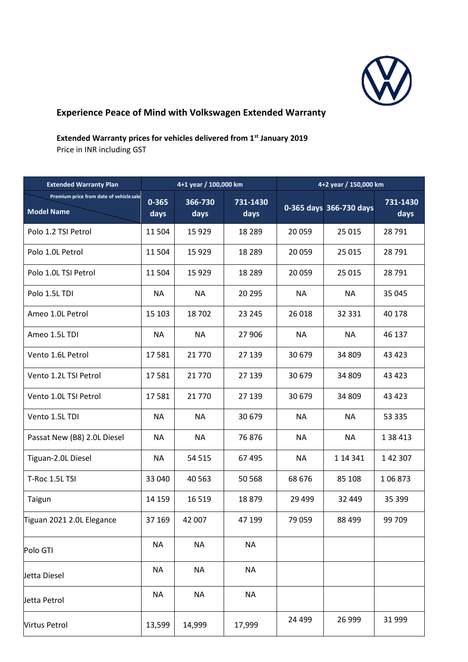

## **Experience Peace of Mind with Volkswagen Extended Warranty**

## **Extended Warranty prices for vehicles delivered from 1st January 2019**

Price in INR including GST

| <b>Extended Warranty Plan</b>                                | 4+1 year / 100,000 km |                 |                  | 4+2 year / 150,000 km |                         |                  |
|--------------------------------------------------------------|-----------------------|-----------------|------------------|-----------------------|-------------------------|------------------|
| Premium price from date of vehicle sale<br><b>Model Name</b> | $0 - 365$<br>days     | 366-730<br>days | 731-1430<br>days |                       | 0-365 days 366-730 days | 731-1430<br>days |
| Polo 1.2 TSI Petrol                                          | 11 504                | 15 9 29         | 18 2 8 9         | 20 059                | 25 015                  | 28 791           |
| Polo 1.0L Petrol                                             | 11 504                | 15 9 29         | 18 2 8 9         | 20 059                | 25 0 15                 | 28 791           |
| Polo 1.0L TSI Petrol                                         | 11 504                | 15 9 29         | 18 2 8 9         | 20 059                | 25 015                  | 28 791           |
| Polo 1.5L TDI                                                | <b>NA</b>             | <b>NA</b>       | 20 29 5          | <b>NA</b>             | <b>NA</b>               | 35 045           |
| Ameo 1.0L Petrol                                             | 15 103                | 18702           | 23 245           | 26 018                | 32 331                  | 40 178           |
| Ameo 1.5L TDI                                                | <b>NA</b>             | <b>NA</b>       | 27 906           | <b>NA</b>             | <b>NA</b>               | 46 137           |
| Vento 1.6L Petrol                                            | 17581                 | 21 770          | 27 139           | 30 679                | 34 809                  | 43 4 23          |
| Vento 1.2L TSI Petrol                                        | 17581                 | 21770           | 27 139           | 30 679                | 34 809                  | 43 4 23          |
| Vento 1.0L TSI Petrol                                        | 17581                 | 21770           | 27 139           | 30 679                | 34 809                  | 43 4 23          |
| Vento 1.5L TDI                                               | <b>NA</b>             | <b>NA</b>       | 30 679           | <b>NA</b>             | <b>NA</b>               | 53 335           |
| Passat New (B8) 2.0L Diesel                                  | <b>NA</b>             | <b>NA</b>       | 76876            | <b>NA</b>             | <b>NA</b>               | 1 38 4 13        |
| Tiguan-2.0L Diesel                                           | <b>NA</b>             | 54 515          | 67 495           | <b>NA</b>             | 1 14 341                | 1 42 307         |
| T-Roc 1.5L TSI                                               | 33 040                | 40 5 63         | 50 568           | 68 676                | 85 108                  | 106873           |
| Taigun                                                       | 14 159                | 16 5 19         | 18879            | 29 4 99               | 32 449                  | 35 399           |
| Tiguan 2021 2.0L Elegance                                    | 37 169                | 42 007          | 47 199           | 79 059                | 88 499                  | 99 709           |
| Polo GTI                                                     | <b>NA</b>             | <b>NA</b>       | <b>NA</b>        |                       |                         |                  |
| Jetta Diesel                                                 | <b>NA</b>             | <b>NA</b>       | <b>NA</b>        |                       |                         |                  |
| Jetta Petrol                                                 | <b>NA</b>             | <b>NA</b>       | <b>NA</b>        |                       |                         |                  |
| <b>Virtus Petrol</b>                                         | 13,599                | 14,999          | 17,999           | 24 4 9 9              | 26 999                  | 31 999           |